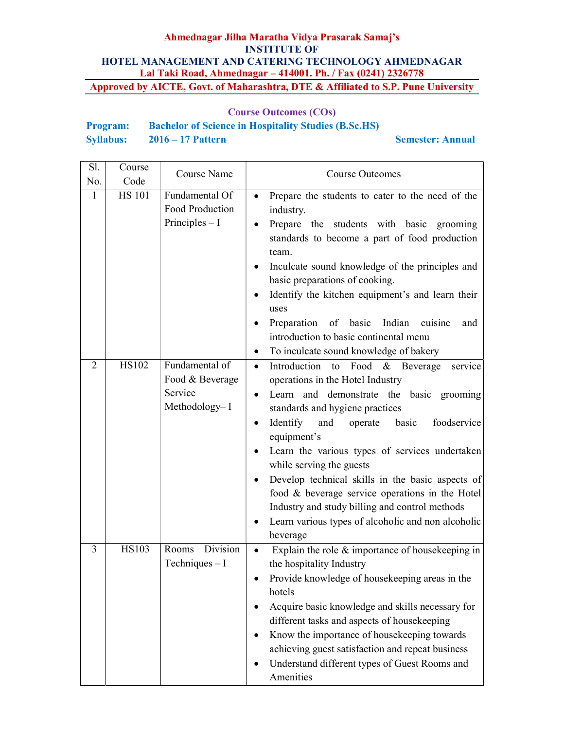# Course Outcomes (COs)

| <b>Program:</b>  | <b>Bachelor of Science in Hospitality Studies (B.Sc.HS)</b> |                         |
|------------------|-------------------------------------------------------------|-------------------------|
| <b>Syllabus:</b> | $2016 - 17$ Pattern                                         | <b>Semester: Annual</b> |

| Sl.<br>No.     | Course<br>Code | Course Name                                                   | <b>Course Outcomes</b>                                                                                                                                                                                                                                                                                                                                                                                                                                                                                                                                                               |
|----------------|----------------|---------------------------------------------------------------|--------------------------------------------------------------------------------------------------------------------------------------------------------------------------------------------------------------------------------------------------------------------------------------------------------------------------------------------------------------------------------------------------------------------------------------------------------------------------------------------------------------------------------------------------------------------------------------|
| 1              | <b>HS 101</b>  | Fundamental Of<br>Food Production<br>Principles $- I$         | Prepare the students to cater to the need of the<br>industry.<br>Prepare the students with basic grooming<br>standards to become a part of food production<br>team.<br>Inculcate sound knowledge of the principles and<br>$\bullet$<br>basic preparations of cooking.<br>Identify the kitchen equipment's and learn their<br>uses<br>Preparation of basic Indian cuisine<br>and<br>introduction to basic continental menu<br>To inculcate sound knowledge of bakery<br>$\bullet$                                                                                                     |
| $\overline{2}$ | <b>HS102</b>   | Fundamental of<br>Food & Beverage<br>Service<br>Methodology-I | Introduction to Food & Beverage<br>$\bullet$<br>service<br>operations in the Hotel Industry<br>Learn and demonstrate the basic grooming<br>standards and hygiene practices<br>Identify<br>and<br>operate basic<br>foodservice<br>٠<br>equipment's<br>Learn the various types of services undertaken<br>while serving the guests<br>Develop technical skills in the basic aspects of<br>$\bullet$<br>food & beverage service operations in the Hotel<br>Industry and study billing and control methods<br>Learn various types of alcoholic and non alcoholic<br>$\bullet$<br>beverage |
| 3              | <b>HS103</b>   | Division<br>Rooms<br>Techniques $-I$                          | Explain the role $&$ importance of house keeping in<br>the hospitality Industry<br>Provide knowledge of housekeeping areas in the<br>hotels<br>Acquire basic knowledge and skills necessary for<br>different tasks and aspects of housekeeping<br>Know the importance of housekeeping towards<br>achieving guest satisfaction and repeat business<br>Understand different types of Guest Rooms and<br>Amenities                                                                                                                                                                      |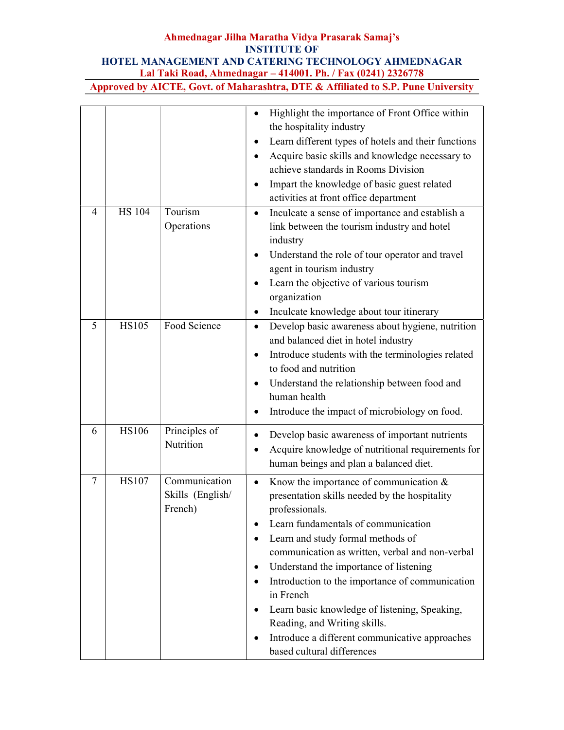|   |               |                                              | Highlight the importance of Front Office within<br>the hospitality industry<br>Learn different types of hotels and their functions<br>Acquire basic skills and knowledge necessary to<br>achieve standards in Rooms Division<br>Impart the knowledge of basic guest related<br>$\bullet$<br>activities at front office department                                                                                                                                                                                                                                      |
|---|---------------|----------------------------------------------|------------------------------------------------------------------------------------------------------------------------------------------------------------------------------------------------------------------------------------------------------------------------------------------------------------------------------------------------------------------------------------------------------------------------------------------------------------------------------------------------------------------------------------------------------------------------|
| 4 | <b>HS 104</b> | Tourism<br>Operations                        | Inculcate a sense of importance and establish a<br>link between the tourism industry and hotel<br>industry<br>Understand the role of tour operator and travel<br>$\bullet$<br>agent in tourism industry<br>Learn the objective of various tourism<br>$\bullet$<br>organization<br>Inculcate knowledge about tour itinerary                                                                                                                                                                                                                                             |
| 5 | <b>HS105</b>  | Food Science                                 | Develop basic awareness about hygiene, nutrition<br>$\bullet$<br>and balanced diet in hotel industry<br>Introduce students with the terminologies related<br>$\bullet$<br>to food and nutrition<br>Understand the relationship between food and<br>٠<br>human health<br>Introduce the impact of microbiology on food.                                                                                                                                                                                                                                                  |
| 6 | <b>HS106</b>  | Principles of<br>Nutrition                   | Develop basic awareness of important nutrients<br>Acquire knowledge of nutritional requirements for<br>human beings and plan a balanced diet.                                                                                                                                                                                                                                                                                                                                                                                                                          |
| 7 | <b>HS107</b>  | Communication<br>Skills (English/<br>French) | Know the importance of communication $&$<br>$\bullet$<br>presentation skills needed by the hospitality<br>professionals.<br>Learn fundamentals of communication<br>$\bullet$<br>Learn and study formal methods of<br>٠<br>communication as written, verbal and non-verbal<br>Understand the importance of listening<br>Introduction to the importance of communication<br>٠<br>in French<br>Learn basic knowledge of listening, Speaking,<br>$\bullet$<br>Reading, and Writing skills.<br>Introduce a different communicative approaches<br>based cultural differences |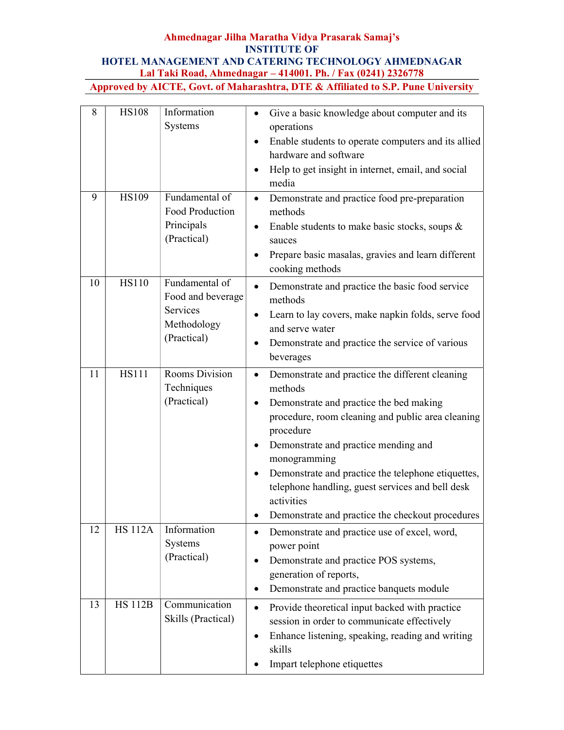| 8  | <b>HS108</b>   | Information<br>Systems                                                        | Give a basic knowledge about computer and its<br>$\bullet$<br>operations<br>Enable students to operate computers and its allied<br>$\bullet$<br>hardware and software<br>Help to get insight in internet, email, and social<br>$\bullet$<br>media                                                                                                                                                                                               |
|----|----------------|-------------------------------------------------------------------------------|-------------------------------------------------------------------------------------------------------------------------------------------------------------------------------------------------------------------------------------------------------------------------------------------------------------------------------------------------------------------------------------------------------------------------------------------------|
| 9  | <b>HS109</b>   | Fundamental of<br>Food Production<br>Principals<br>(Practical)                | Demonstrate and practice food pre-preparation<br>$\bullet$<br>methods<br>Enable students to make basic stocks, soups $\&$<br>$\bullet$<br>sauces<br>Prepare basic masalas, gravies and learn different<br>$\bullet$<br>cooking methods                                                                                                                                                                                                          |
| 10 | <b>HS110</b>   | Fundamental of<br>Food and beverage<br>Services<br>Methodology<br>(Practical) | Demonstrate and practice the basic food service<br>$\bullet$<br>methods<br>Learn to lay covers, make napkin folds, serve food<br>$\bullet$<br>and serve water<br>Demonstrate and practice the service of various<br>$\bullet$<br>beverages                                                                                                                                                                                                      |
| 11 | <b>HS111</b>   | Rooms Division<br>Techniques<br>(Practical)                                   | Demonstrate and practice the different cleaning<br>$\bullet$<br>methods<br>Demonstrate and practice the bed making<br>٠<br>procedure, room cleaning and public area cleaning<br>procedure<br>Demonstrate and practice mending and<br>٠<br>monogramming<br>Demonstrate and practice the telephone etiquettes,<br>$\bullet$<br>telephone handling, guest services and bell desk<br>activities<br>Demonstrate and practice the checkout procedures |
| 12 | <b>HS 112A</b> | Information<br>Systems<br>(Practical)                                         | Demonstrate and practice use of excel, word,<br>$\bullet$<br>power point<br>Demonstrate and practice POS systems,<br>$\bullet$<br>generation of reports,<br>Demonstrate and practice banquets module<br>$\bullet$                                                                                                                                                                                                                               |
| 13 | <b>HS 112B</b> | Communication<br>Skills (Practical)                                           | Provide theoretical input backed with practice<br>$\bullet$<br>session in order to communicate effectively<br>Enhance listening, speaking, reading and writing<br>$\bullet$<br>skills<br>Impart telephone etiquettes                                                                                                                                                                                                                            |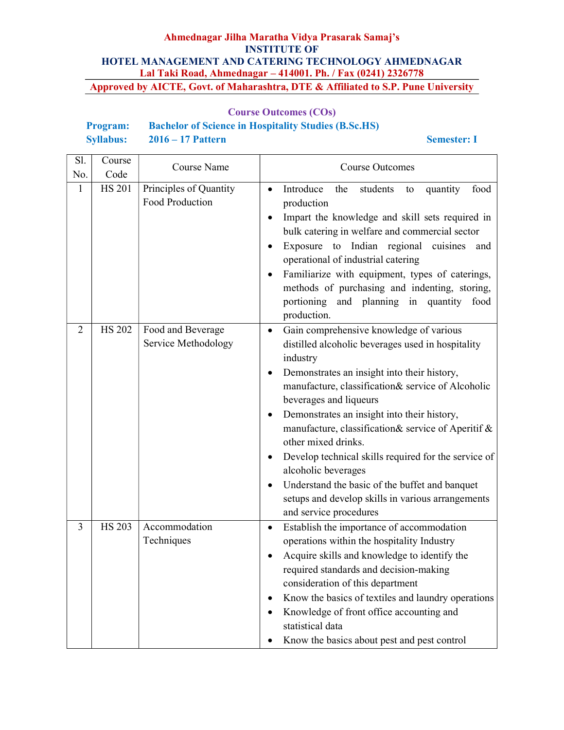## Course Outcomes (COs)

# Program: Bachelor of Science in Hospitality Studies (B.Sc.HS) Syllabus: 2016 – 17 Pattern Semester: I

| Sl.            | Course              | Course Name            | <b>Course Outcomes</b>                                                                                |
|----------------|---------------------|------------------------|-------------------------------------------------------------------------------------------------------|
| No.            | Code                |                        |                                                                                                       |
| 1              | <b>HS 201</b>       | Principles of Quantity | Introduce<br>food<br>the<br>students<br>quantity<br>$\bullet$<br>to                                   |
|                |                     | Food Production        | production                                                                                            |
|                |                     |                        | Impart the knowledge and skill sets required in<br>bulk catering in welfare and commercial sector     |
|                |                     |                        | Exposure to Indian regional cuisines<br>and<br>$\bullet$                                              |
|                |                     |                        | operational of industrial catering                                                                    |
|                |                     |                        | Familiarize with equipment, types of caterings,                                                       |
|                |                     |                        | methods of purchasing and indenting, storing,                                                         |
|                |                     |                        | portioning and planning in quantity food                                                              |
|                |                     |                        | production.                                                                                           |
| $\overline{2}$ | $\overline{H}S$ 202 | Food and Beverage      | Gain comprehensive knowledge of various<br>$\bullet$                                                  |
|                |                     | Service Methodology    | distilled alcoholic beverages used in hospitality                                                     |
|                |                     |                        | industry                                                                                              |
|                |                     |                        | Demonstrates an insight into their history,<br>٠<br>manufacture, classification& service of Alcoholic |
|                |                     |                        | beverages and liqueurs                                                                                |
|                |                     |                        | Demonstrates an insight into their history,<br>٠                                                      |
|                |                     |                        | manufacture, classification& service of Aperitif &                                                    |
|                |                     |                        | other mixed drinks.                                                                                   |
|                |                     |                        | Develop technical skills required for the service of                                                  |
|                |                     |                        | alcoholic beverages                                                                                   |
|                |                     |                        | Understand the basic of the buffet and banquet                                                        |
|                |                     |                        | setups and develop skills in various arrangements<br>and service procedures                           |
| 3              | <b>HS 203</b>       | Accommodation          | Establish the importance of accommodation<br>$\bullet$                                                |
|                |                     | Techniques             | operations within the hospitality Industry                                                            |
|                |                     |                        | Acquire skills and knowledge to identify the                                                          |
|                |                     |                        | required standards and decision-making                                                                |
|                |                     |                        | consideration of this department                                                                      |
|                |                     |                        | Know the basics of textiles and laundry operations                                                    |
|                |                     |                        | Knowledge of front office accounting and<br>٠                                                         |
|                |                     |                        | statistical data                                                                                      |
|                |                     |                        | Know the basics about pest and pest control                                                           |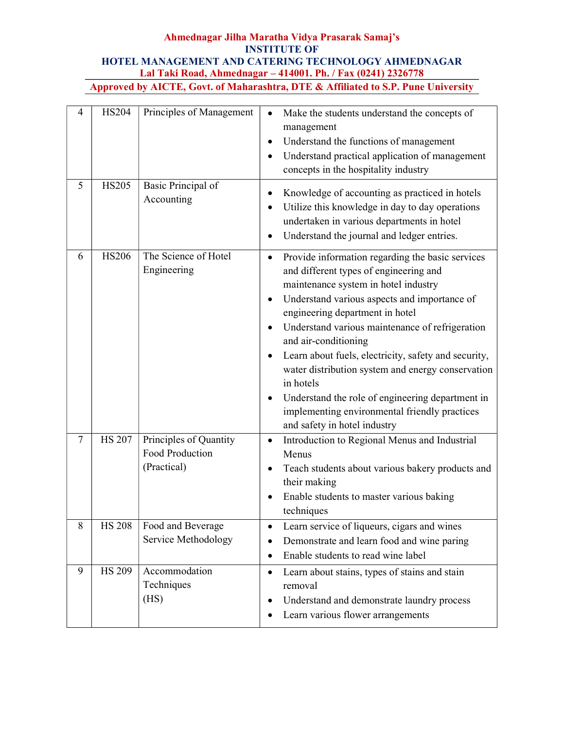| 4      | <b>HS204</b>  | Principles of Management                                 | Make the students understand the concepts of<br>$\bullet$<br>management<br>Understand the functions of management<br>$\bullet$<br>Understand practical application of management<br>concepts in the hospitality industry                                                                                                                                                                                                                                                                                                                                                                    |
|--------|---------------|----------------------------------------------------------|---------------------------------------------------------------------------------------------------------------------------------------------------------------------------------------------------------------------------------------------------------------------------------------------------------------------------------------------------------------------------------------------------------------------------------------------------------------------------------------------------------------------------------------------------------------------------------------------|
| 5      | <b>HS205</b>  | Basic Principal of<br>Accounting                         | Knowledge of accounting as practiced in hotels<br>٠<br>Utilize this knowledge in day to day operations<br>$\bullet$<br>undertaken in various departments in hotel<br>Understand the journal and ledger entries.<br>$\bullet$                                                                                                                                                                                                                                                                                                                                                                |
| 6      | <b>HS206</b>  | The Science of Hotel<br>Engineering                      | Provide information regarding the basic services<br>$\bullet$<br>and different types of engineering and<br>maintenance system in hotel industry<br>Understand various aspects and importance of<br>٠<br>engineering department in hotel<br>Understand various maintenance of refrigeration<br>and air-conditioning<br>Learn about fuels, electricity, safety and security,<br>٠<br>water distribution system and energy conservation<br>in hotels<br>Understand the role of engineering department in<br>٠<br>implementing environmental friendly practices<br>and safety in hotel industry |
| $\tau$ | <b>HS 207</b> | Principles of Quantity<br>Food Production<br>(Practical) | Introduction to Regional Menus and Industrial<br>$\bullet$<br>Menus<br>Teach students about various bakery products and<br>٠<br>their making<br>Enable students to master various baking<br>techniques                                                                                                                                                                                                                                                                                                                                                                                      |
| 8      | <b>HS 208</b> | Food and Beverage<br>Service Methodology                 | Learn service of liqueurs, cigars and wines<br>$\bullet$<br>Demonstrate and learn food and wine paring<br>$\bullet$<br>Enable students to read wine label<br>$\bullet$                                                                                                                                                                                                                                                                                                                                                                                                                      |
| 9      | <b>HS 209</b> | Accommodation<br>Techniques<br>(HS)                      | Learn about stains, types of stains and stain<br>$\bullet$<br>removal<br>Understand and demonstrate laundry process<br>٠<br>Learn various flower arrangements                                                                                                                                                                                                                                                                                                                                                                                                                               |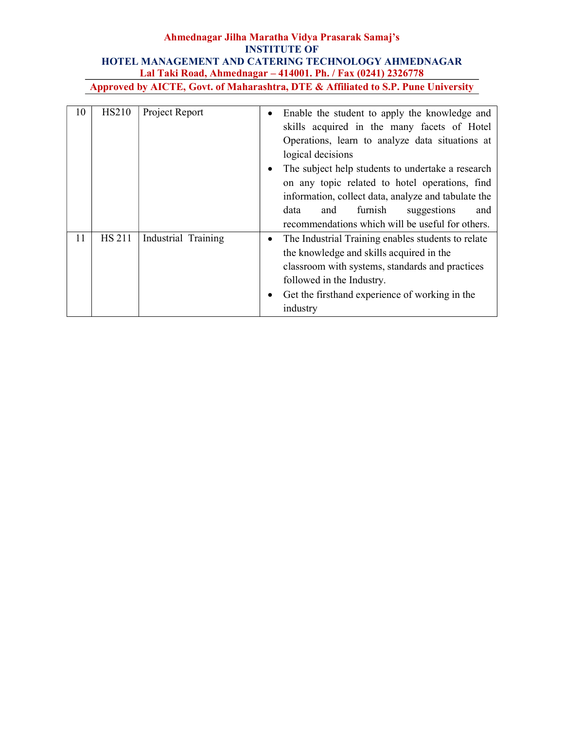| 10 | <b>HS210</b>  | Project Report      | $\bullet$<br>٠ | Enable the student to apply the knowledge and<br>skills acquired in the many facets of Hotel<br>Operations, learn to analyze data situations at<br>logical decisions<br>The subject help students to undertake a research<br>on any topic related to hotel operations, find<br>information, collect data, analyze and tabulate the<br>furnish<br>data<br>suggestions<br>and<br>and<br>recommendations which will be useful for others. |
|----|---------------|---------------------|----------------|----------------------------------------------------------------------------------------------------------------------------------------------------------------------------------------------------------------------------------------------------------------------------------------------------------------------------------------------------------------------------------------------------------------------------------------|
| 11 | <b>HS 211</b> | Industrial Training | ٠              | The Industrial Training enables students to relate<br>the knowledge and skills acquired in the<br>classroom with systems, standards and practices<br>followed in the Industry.<br>Get the firsthand experience of working in the<br>industry                                                                                                                                                                                           |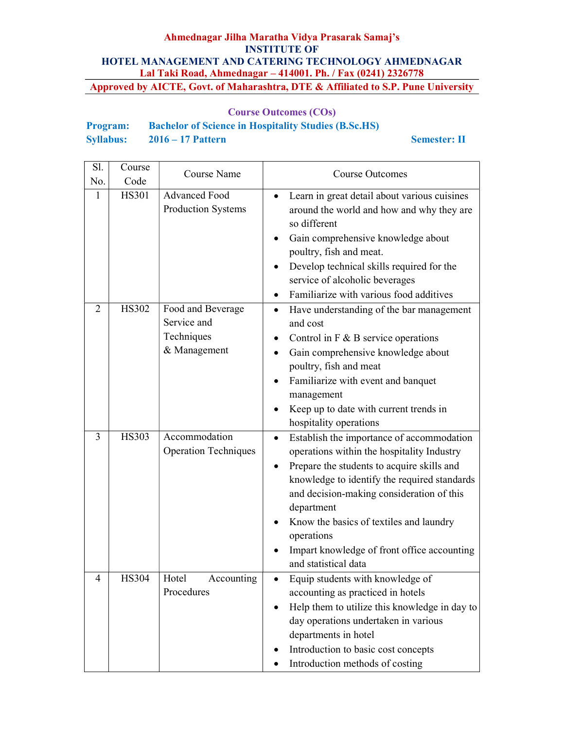# Course Outcomes (COs)

| <b>Program:</b>  | <b>Bachelor of Science in Hospitality Studies (B.Sc.HS)</b> |
|------------------|-------------------------------------------------------------|
| <b>Syllabus:</b> | $2016 - 17$ Pattern                                         |

#### Semester: II

| Sl.<br>No.     | Course<br>Code | Course Name                                                    | <b>Course Outcomes</b>                                                                                                                                                                                                                                                                                                                                                                        |
|----------------|----------------|----------------------------------------------------------------|-----------------------------------------------------------------------------------------------------------------------------------------------------------------------------------------------------------------------------------------------------------------------------------------------------------------------------------------------------------------------------------------------|
| 1              | <b>HS301</b>   | <b>Advanced Food</b><br>Production Systems                     | Learn in great detail about various cuisines<br>$\bullet$<br>around the world and how and why they are<br>so different<br>Gain comprehensive knowledge about<br>poultry, fish and meat.<br>Develop technical skills required for the<br>service of alcoholic beverages<br>Familiarize with various food additives                                                                             |
| $\overline{2}$ | <b>HS302</b>   | Food and Beverage<br>Service and<br>Techniques<br>& Management | Have understanding of the bar management<br>$\bullet$<br>and cost<br>Control in $F \& B$ service operations<br>Gain comprehensive knowledge about<br>$\bullet$<br>poultry, fish and meat<br>Familiarize with event and banquet<br>$\bullet$<br>management<br>Keep up to date with current trends in<br>hospitality operations                                                                 |
| 3              | <b>HS303</b>   | Accommodation<br><b>Operation Techniques</b>                   | Establish the importance of accommodation<br>$\bullet$<br>operations within the hospitality Industry<br>Prepare the students to acquire skills and<br>knowledge to identify the required standards<br>and decision-making consideration of this<br>department<br>Know the basics of textiles and laundry<br>operations<br>Impart knowledge of front office accounting<br>and statistical data |
| 4              | HS304          | Hotel<br>Accounting<br>Procedures                              | Equip students with knowledge of<br>٠<br>accounting as practiced in hotels<br>Help them to utilize this knowledge in day to<br>$\bullet$<br>day operations undertaken in various<br>departments in hotel<br>Introduction to basic cost concepts<br>Introduction methods of costing                                                                                                            |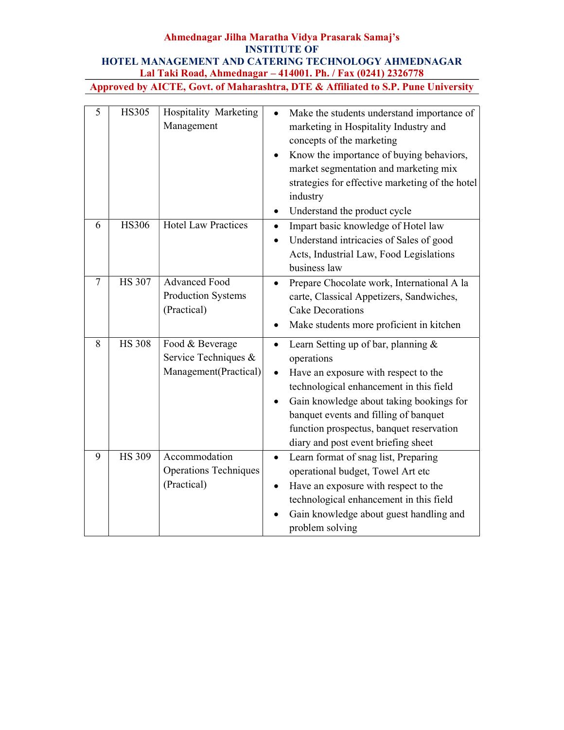| $\overline{5}$ | <b>HS305</b>  | Hospitality Marketing<br>Management                              | Make the students understand importance of<br>$\bullet$<br>marketing in Hospitality Industry and<br>concepts of the marketing<br>Know the importance of buying behaviors,<br>market segmentation and marketing mix<br>strategies for effective marketing of the hotel<br>industry<br>Understand the product cycle<br>$\bullet$                      |
|----------------|---------------|------------------------------------------------------------------|-----------------------------------------------------------------------------------------------------------------------------------------------------------------------------------------------------------------------------------------------------------------------------------------------------------------------------------------------------|
| 6              | <b>HS306</b>  | <b>Hotel Law Practices</b>                                       | Impart basic knowledge of Hotel law<br>$\bullet$<br>Understand intricacies of Sales of good<br>$\bullet$<br>Acts, Industrial Law, Food Legislations<br>business law                                                                                                                                                                                 |
| 7              | <b>HS 307</b> | <b>Advanced Food</b><br>Production Systems<br>(Practical)        | Prepare Chocolate work, International A la<br>$\bullet$<br>carte, Classical Appetizers, Sandwiches,<br><b>Cake Decorations</b><br>Make students more proficient in kitchen<br>٠                                                                                                                                                                     |
| 8              | <b>HS 308</b> | Food & Beverage<br>Service Techniques &<br>Management(Practical) | Learn Setting up of bar, planning &<br>$\bullet$<br>operations<br>Have an exposure with respect to the<br>$\bullet$<br>technological enhancement in this field<br>Gain knowledge about taking bookings for<br>$\bullet$<br>banquet events and filling of banquet<br>function prospectus, banquet reservation<br>diary and post event briefing sheet |
| 9              | <b>HS 309</b> | Accommodation<br><b>Operations Techniques</b><br>(Practical)     | Learn format of snag list, Preparing<br>$\bullet$<br>operational budget, Towel Art etc<br>Have an exposure with respect to the<br>technological enhancement in this field<br>Gain knowledge about guest handling and<br>problem solving                                                                                                             |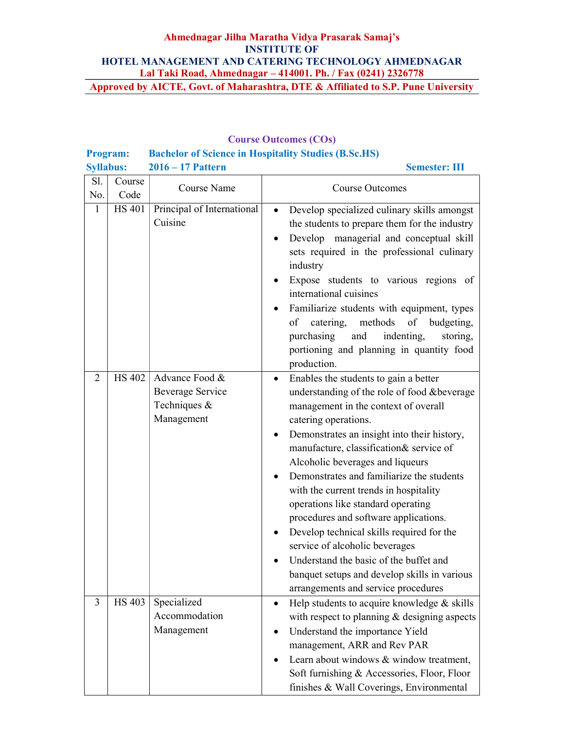Course Outcomes (COs)

| Program:         |                |                                                                         | $\sim$<br><b>Bachelor of Science in Hospitality Studies (B.Sc.HS)</b>                                                                                                                                                                                                                                                                                                                                                                                                                                                                                                                                                                                                                              |
|------------------|----------------|-------------------------------------------------------------------------|----------------------------------------------------------------------------------------------------------------------------------------------------------------------------------------------------------------------------------------------------------------------------------------------------------------------------------------------------------------------------------------------------------------------------------------------------------------------------------------------------------------------------------------------------------------------------------------------------------------------------------------------------------------------------------------------------|
| <b>Syllabus:</b> |                | 2016 - 17 Pattern                                                       | <b>Semester: III</b>                                                                                                                                                                                                                                                                                                                                                                                                                                                                                                                                                                                                                                                                               |
| Sl.<br>No.       | Course<br>Code | Course Name                                                             | <b>Course Outcomes</b>                                                                                                                                                                                                                                                                                                                                                                                                                                                                                                                                                                                                                                                                             |
| $\mathbf{1}$     | <b>HS 401</b>  | Principal of International<br>Cuisine                                   | Develop specialized culinary skills amongst<br>$\bullet$<br>the students to prepare them for the industry<br>Develop managerial and conceptual skill<br>sets required in the professional culinary<br>industry<br>Expose students to various regions of<br>international cuisines<br>Familiarize students with equipment, types<br>methods<br>catering,<br>of<br>of<br>budgeting,<br>purchasing<br>indenting,<br>and<br>storing,<br>portioning and planning in quantity food<br>production.                                                                                                                                                                                                        |
| $\overline{2}$   | <b>HS 402</b>  | Advance Food &<br><b>Beverage Service</b><br>Techniques &<br>Management | Enables the students to gain a better<br>$\bullet$<br>understanding of the role of food &beverage<br>management in the context of overall<br>catering operations.<br>Demonstrates an insight into their history,<br>$\bullet$<br>manufacture, classification& service of<br>Alcoholic beverages and liqueurs<br>Demonstrates and familiarize the students<br>with the current trends in hospitality<br>operations like standard operating<br>procedures and software applications.<br>Develop technical skills required for the<br>service of alcoholic beverages<br>Understand the basic of the buffet and<br>banquet setups and develop skills in various<br>arrangements and service procedures |
| 3                | <b>HS 403</b>  | Specialized<br>Accommodation<br>Management                              | Help students to acquire knowledge & skills<br>$\bullet$<br>with respect to planning & designing aspects<br>Understand the importance Yield<br>management, ARR and Rev PAR<br>Learn about windows & window treatment,<br>Soft furnishing & Accessories, Floor, Floor<br>finishes & Wall Coverings, Environmental                                                                                                                                                                                                                                                                                                                                                                                   |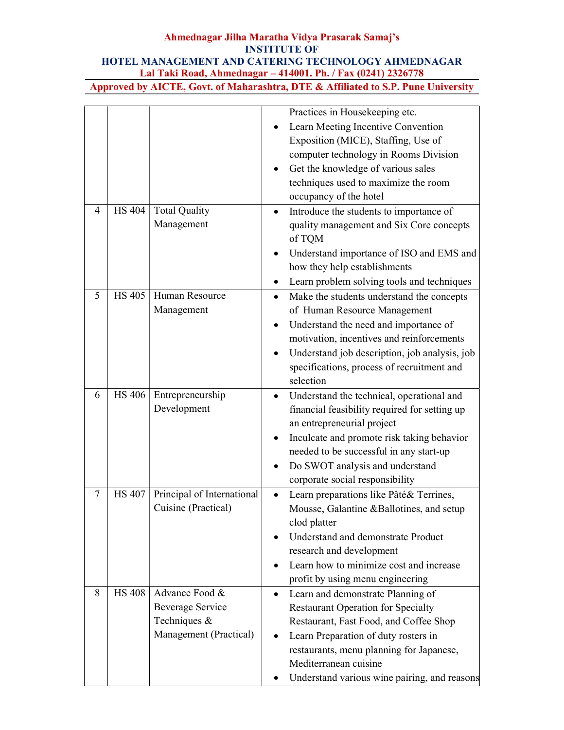|                |                            |                            | Practices in Housekeeping etc.                         |
|----------------|----------------------------|----------------------------|--------------------------------------------------------|
|                |                            |                            | Learn Meeting Incentive Convention                     |
|                |                            |                            | Exposition (MICE), Staffing, Use of                    |
|                |                            |                            | computer technology in Rooms Division                  |
|                |                            |                            | Get the knowledge of various sales                     |
|                |                            |                            | techniques used to maximize the room                   |
|                |                            |                            | occupancy of the hotel                                 |
| 4              | <b>HS 404</b>              | <b>Total Quality</b>       | Introduce the students to importance of<br>$\bullet$   |
|                |                            | Management                 | quality management and Six Core concepts               |
|                |                            |                            | of TQM                                                 |
|                |                            |                            | Understand importance of ISO and EMS and               |
|                |                            |                            | how they help establishments                           |
|                |                            |                            | Learn problem solving tools and techniques             |
| 5              | $\overline{\text{HS}}$ 405 | Human Resource             | Make the students understand the concepts<br>$\bullet$ |
|                |                            | Management                 | of Human Resource Management                           |
|                |                            |                            | Understand the need and importance of                  |
|                |                            |                            | motivation, incentives and reinforcements              |
|                |                            |                            | Understand job description, job analysis, job          |
|                |                            |                            | specifications, process of recruitment and             |
|                |                            |                            | selection                                              |
| 6              | <b>HS 406</b>              | Entrepreneurship           | Understand the technical, operational and<br>$\bullet$ |
|                |                            | Development                | financial feasibility required for setting up          |
|                |                            |                            | an entrepreneurial project                             |
|                |                            |                            | Inculcate and promote risk taking behavior             |
|                |                            |                            | needed to be successful in any start-up                |
|                |                            |                            | Do SWOT analysis and understand<br>$\bullet$           |
|                |                            |                            | corporate social responsibility                        |
| $\overline{7}$ | <b>HS 407</b>              | Principal of International | Learn preparations like Pâté& Terrines,<br>$\bullet$   |
|                |                            | Cuisine (Practical)        | Mousse, Galantine &Ballotines, and setup               |
|                |                            |                            | clod platter                                           |
|                |                            |                            | Understand and demonstrate Product                     |
|                |                            |                            | research and development                               |
|                |                            |                            | Learn how to minimize cost and increase                |
|                |                            |                            | profit by using menu engineering                       |
| 8              | <b>HS 408</b>              | Advance Food &             | Learn and demonstrate Planning of<br>$\bullet$         |
|                |                            | <b>Beverage Service</b>    | <b>Restaurant Operation for Specialty</b>              |
|                |                            | Techniques $\&$            | Restaurant, Fast Food, and Coffee Shop                 |
|                |                            | Management (Practical)     | Learn Preparation of duty rosters in<br>$\bullet$      |
|                |                            |                            | restaurants, menu planning for Japanese,               |
|                |                            |                            | Mediterranean cuisine                                  |
|                |                            |                            | Understand various wine pairing, and reasons           |